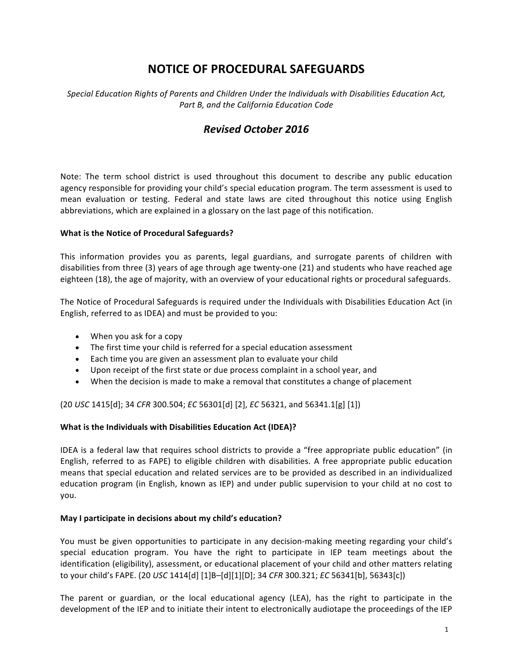# **NOTICE OF PROCEDURAL SAFEGUARDS**

Special Education Rights of Parents and Children Under the Individuals with Disabilities Education Act, *Part B, and the California Education Code*

## *Revised October 2016*

Note: The term school district is used throughout this document to describe any public education agency responsible for providing your child's special education program. The term assessment is used to mean evaluation or testing. Federal and state laws are cited throughout this notice using English abbreviations, which are explained in a glossary on the last page of this notification.

#### **What is the Notice of Procedural Safeguards?**

This information provides you as parents, legal guardians, and surrogate parents of children with disabilities from three (3) years of age through age twenty-one (21) and students who have reached age eighteen (18), the age of majority, with an overview of your educational rights or procedural safeguards.

The Notice of Procedural Safeguards is required under the Individuals with Disabilities Education Act (in English, referred to as IDEA) and must be provided to you:

- When you ask for a copy
- The first time your child is referred for a special education assessment
- Each time you are given an assessment plan to evaluate your child
- Upon receipt of the first state or due process complaint in a school year, and
- When the decision is made to make a removal that constitutes a change of placement

(20 *USC* 1415[d]; 34 *CFR* 300.504; *EC* 56301[d] [2], *EC* 56321, and 56341.1[g] [1]) 

#### **What is the Individuals with Disabilities Education Act (IDEA)?**

IDEA is a federal law that requires school districts to provide a "free appropriate public education" (in English, referred to as FAPE) to eligible children with disabilities. A free appropriate public education means that special education and related services are to be provided as described in an individualized education program (in English, known as IEP) and under public supervision to your child at no cost to you.

#### **May I participate in decisions about my child's education?**

You must be given opportunities to participate in any decision-making meeting regarding your child's special education program. You have the right to participate in IEP team meetings about the identification (eligibility), assessment, or educational placement of your child and other matters relating to your child's FAPE. (20 *USC* 1414[d] [1]B-[d][1][D]; 34 *CFR* 300.321; *EC* 56341[b], 56343[c])

The parent or guardian, or the local educational agency (LEA), has the right to participate in the development of the IEP and to initiate their intent to electronically audiotape the proceedings of the IEP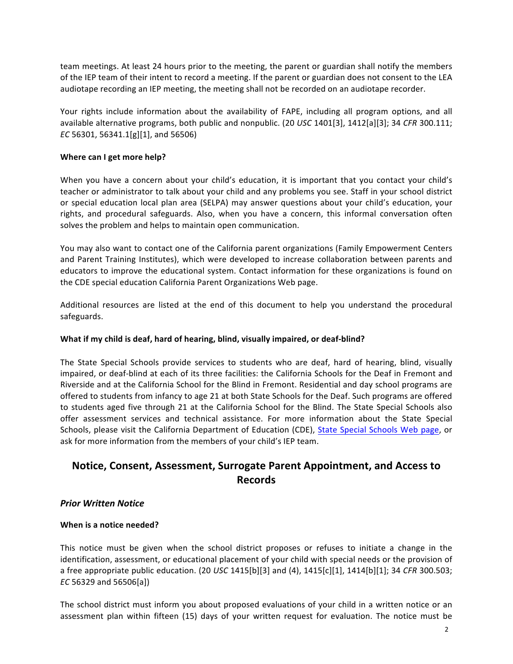team meetings. At least 24 hours prior to the meeting, the parent or guardian shall notify the members of the IEP team of their intent to record a meeting. If the parent or guardian does not consent to the LEA audiotape recording an IEP meeting, the meeting shall not be recorded on an audiotape recorder.

Your rights include information about the availability of FAPE, including all program options, and all available alternative programs, both public and nonpublic. (20 *USC* 1401[3], 1412[a][3]; 34 *CFR* 300.111; *EC* 56301, 56341.1[g][1], and 56506)

#### **Where can I get more help?**

When you have a concern about your child's education, it is important that you contact your child's teacher or administrator to talk about your child and any problems you see. Staff in your school district or special education local plan area (SELPA) may answer questions about your child's education, your rights, and procedural safeguards. Also, when you have a concern, this informal conversation often solves the problem and helps to maintain open communication.

You may also want to contact one of the California parent organizations (Family Empowerment Centers and Parent Training Institutes), which were developed to increase collaboration between parents and educators to improve the educational system. Contact information for these organizations is found on the CDE special education California Parent Organizations Web page.

Additional resources are listed at the end of this document to help you understand the procedural safeguards.

#### What if my child is deaf, hard of hearing, blind, visually impaired, or deaf-blind?

The State Special Schools provide services to students who are deaf, hard of hearing, blind, visually impaired, or deaf-blind at each of its three facilities: the California Schools for the Deaf in Fremont and Riverside and at the California School for the Blind in Fremont. Residential and day school programs are offered to students from infancy to age 21 at both State Schools for the Deaf. Such programs are offered to students aged five through 21 at the California School for the Blind. The State Special Schools also offer assessment services and technical assistance. For more information about the State Special Schools, please visit the California Department of Education (CDE), State Special Schools Web page, or ask for more information from the members of your child's IEP team.

## **Notice, Consent, Assessment, Surrogate Parent Appointment, and Access to Records**

#### *Prior Written Notice*

#### **When is a notice needed?**

This notice must be given when the school district proposes or refuses to initiate a change in the identification, assessment, or educational placement of your child with special needs or the provision of a free appropriate public education. (20 *USC* 1415[b][3] and (4), 1415[c][1], 1414[b][1]; 34 *CFR* 300.503; *EC* 56329 and 56506[a]) 

The school district must inform you about proposed evaluations of your child in a written notice or an assessment plan within fifteen (15) days of your written request for evaluation. The notice must be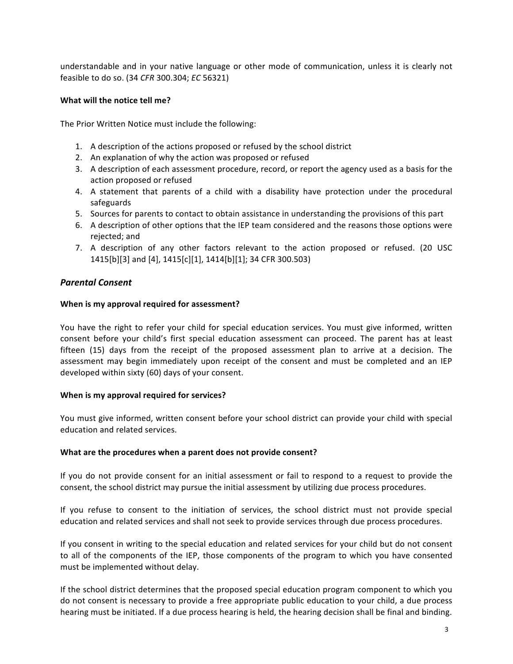understandable and in your native language or other mode of communication, unless it is clearly not feasible to do so. (34 *CFR* 300.304; *EC* 56321)

#### **What will the notice tell me?**

The Prior Written Notice must include the following:

- 1. A description of the actions proposed or refused by the school district
- 2. An explanation of why the action was proposed or refused
- 3. A description of each assessment procedure, record, or report the agency used as a basis for the action proposed or refused
- 4. A statement that parents of a child with a disability have protection under the procedural safeguards
- 5. Sources for parents to contact to obtain assistance in understanding the provisions of this part
- 6. A description of other options that the IEP team considered and the reasons those options were rejected; and
- 7. A description of any other factors relevant to the action proposed or refused. (20 USC 1415[b][3] and [4], 1415[c][1], 1414[b][1]; 34 CFR 300.503)

#### *Parental Consent*

#### When is my approval required for assessment?

You have the right to refer your child for special education services. You must give informed, written consent before your child's first special education assessment can proceed. The parent has at least fifteen (15) days from the receipt of the proposed assessment plan to arrive at a decision. The assessment may begin immediately upon receipt of the consent and must be completed and an IEP developed within sixty (60) days of your consent.

#### **When is my approval required for services?**

You must give informed, written consent before your school district can provide your child with special education and related services.

#### **What are the procedures when a parent does not provide consent?**

If you do not provide consent for an initial assessment or fail to respond to a request to provide the consent, the school district may pursue the initial assessment by utilizing due process procedures.

If you refuse to consent to the initiation of services, the school district must not provide special education and related services and shall not seek to provide services through due process procedures.

If you consent in writing to the special education and related services for your child but do not consent to all of the components of the IEP, those components of the program to which you have consented must be implemented without delay.

If the school district determines that the proposed special education program component to which you do not consent is necessary to provide a free appropriate public education to your child, a due process hearing must be initiated. If a due process hearing is held, the hearing decision shall be final and binding.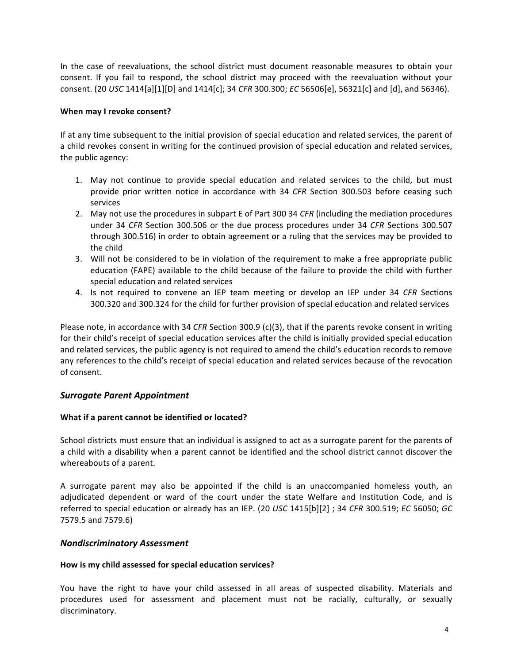In the case of reevaluations, the school district must document reasonable measures to obtain your consent. If you fail to respond, the school district may proceed with the reevaluation without your consent. (20 *USC* 1414[a][1][D] and 1414[c]; 34 *CFR* 300.300; *EC* 56506[e], 56321[c] and [d], and 56346).

#### **When may I revoke consent?**

If at any time subsequent to the initial provision of special education and related services, the parent of a child revokes consent in writing for the continued provision of special education and related services, the public agency:

- 1. May not continue to provide special education and related services to the child, but must provide prior written notice in accordance with 34 CFR Section 300.503 before ceasing such services
- 2. May not use the procedures in subpart E of Part 300 34 *CFR* (including the mediation procedures under 34 *CFR* Section 300.506 or the due process procedures under 34 *CFR* Sections 300.507 through 300.516) in order to obtain agreement or a ruling that the services may be provided to the child
- 3. Will not be considered to be in violation of the requirement to make a free appropriate public education (FAPE) available to the child because of the failure to provide the child with further special education and related services
- 4. Is not required to convene an IEP team meeting or develop an IEP under 34 CFR Sections 300.320 and 300.324 for the child for further provision of special education and related services

Please note, in accordance with 34 *CFR* Section 300.9 (c)(3), that if the parents revoke consent in writing for their child's receipt of special education services after the child is initially provided special education and related services, the public agency is not required to amend the child's education records to remove any references to the child's receipt of special education and related services because of the revocation of consent.

## **Surrogate Parent Appointment**

#### **What if a parent cannot be identified or located?**

School districts must ensure that an individual is assigned to act as a surrogate parent for the parents of a child with a disability when a parent cannot be identified and the school district cannot discover the whereabouts of a parent.

A surrogate parent may also be appointed if the child is an unaccompanied homeless youth, an adjudicated dependent or ward of the court under the state Welfare and Institution Code, and is referred to special education or already has an IEP. (20 *USC* 1415[b][2] ; 34 *CFR* 300.519; *EC* 56050; *GC* 7579.5 and 7579.6)

## *Nondiscriminatory Assessment*

#### How is my child assessed for special education services?

You have the right to have your child assessed in all areas of suspected disability. Materials and procedures used for assessment and placement must not be racially, culturally, or sexually discriminatory.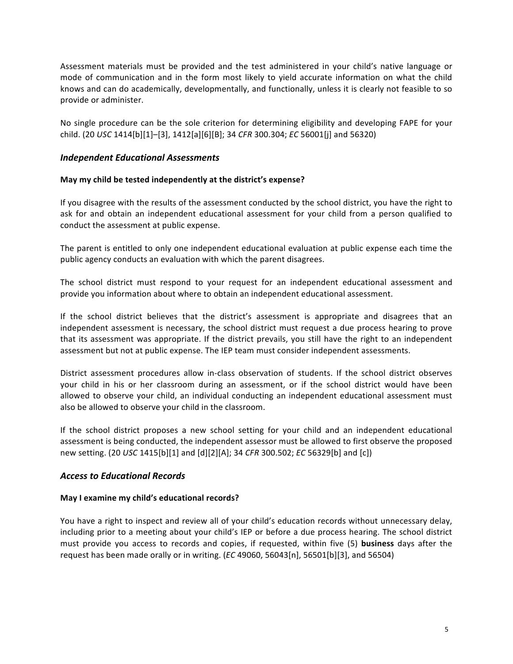Assessment materials must be provided and the test administered in your child's native language or mode of communication and in the form most likely to yield accurate information on what the child knows and can do academically, developmentally, and functionally, unless it is clearly not feasible to so provide or administer.

No single procedure can be the sole criterion for determining eligibility and developing FAPE for your child. (20 *USC* 1414[b][1]–[3], 1412[a][6][B]; 34 *CFR* 300.304; *EC* 56001[j] and 56320) 

## *Independent Educational Assessments*

#### May my child be tested independently at the district's expense?

If you disagree with the results of the assessment conducted by the school district, you have the right to ask for and obtain an independent educational assessment for your child from a person qualified to conduct the assessment at public expense.

The parent is entitled to only one independent educational evaluation at public expense each time the public agency conducts an evaluation with which the parent disagrees.

The school district must respond to your request for an independent educational assessment and provide you information about where to obtain an independent educational assessment.

If the school district believes that the district's assessment is appropriate and disagrees that an independent assessment is necessary, the school district must request a due process hearing to prove that its assessment was appropriate. If the district prevails, you still have the right to an independent assessment but not at public expense. The IEP team must consider independent assessments.

District assessment procedures allow in-class observation of students. If the school district observes your child in his or her classroom during an assessment, or if the school district would have been allowed to observe your child, an individual conducting an independent educational assessment must also be allowed to observe your child in the classroom.

If the school district proposes a new school setting for your child and an independent educational assessment is being conducted, the independent assessor must be allowed to first observe the proposed new setting. (20 *USC* 1415[b][1] and [d][2][A]; 34 *CFR* 300.502; *EC* 56329[b] and [c])

#### *Access to Educational Records*

#### **May I examine my child's educational records?**

You have a right to inspect and review all of your child's education records without unnecessary delay, including prior to a meeting about your child's IEP or before a due process hearing. The school district must provide you access to records and copies, if requested, within five (5) **business** days after the request has been made orally or in writing.  $(EC 49060, 56043[n], 56501[b][3],$  and 56504)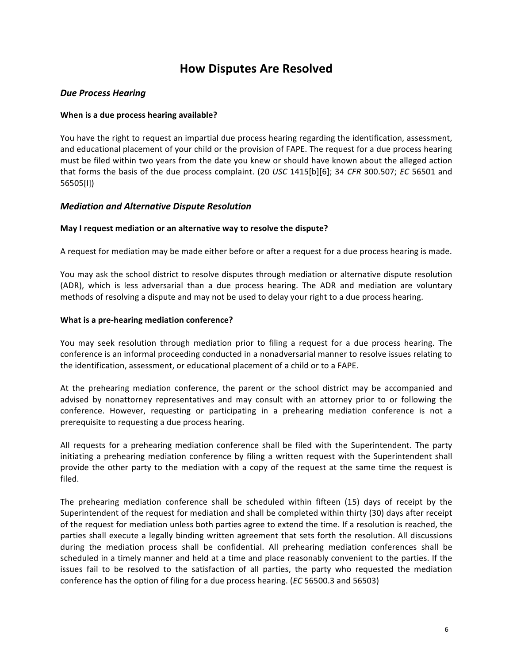# **How Disputes Are Resolved**

## *Due Process Hearing*

#### **When is a due process hearing available?**

You have the right to request an impartial due process hearing regarding the identification, assessment, and educational placement of your child or the provision of FAPE. The request for a due process hearing must be filed within two years from the date you knew or should have known about the alleged action that forms the basis of the due process complaint. (20 *USC* 1415[b][6]; 34 *CFR* 300.507; *EC* 56501 and 56505[l])

## *Mediation and Alternative Dispute Resolution*

#### **May I request mediation or an alternative way to resolve the dispute?**

A request for mediation may be made either before or after a request for a due process hearing is made.

You may ask the school district to resolve disputes through mediation or alternative dispute resolution (ADR), which is less adversarial than a due process hearing. The ADR and mediation are voluntary methods of resolving a dispute and may not be used to delay your right to a due process hearing.

#### **What is a pre-hearing mediation conference?**

You may seek resolution through mediation prior to filing a request for a due process hearing. The conference is an informal proceeding conducted in a nonadversarial manner to resolve issues relating to the identification, assessment, or educational placement of a child or to a FAPE.

At the prehearing mediation conference, the parent or the school district may be accompanied and advised by nonattorney representatives and may consult with an attorney prior to or following the conference. However, requesting or participating in a prehearing mediation conference is not a prerequisite to requesting a due process hearing.

All requests for a prehearing mediation conference shall be filed with the Superintendent. The party initiating a prehearing mediation conference by filing a written request with the Superintendent shall provide the other party to the mediation with a copy of the request at the same time the request is filed. 

The prehearing mediation conference shall be scheduled within fifteen  $(15)$  days of receipt by the Superintendent of the request for mediation and shall be completed within thirty (30) days after receipt of the request for mediation unless both parties agree to extend the time. If a resolution is reached, the parties shall execute a legally binding written agreement that sets forth the resolution. All discussions during the mediation process shall be confidential. All prehearing mediation conferences shall be scheduled in a timely manner and held at a time and place reasonably convenient to the parties. If the issues fail to be resolved to the satisfaction of all parties, the party who requested the mediation conference has the option of filing for a due process hearing. (*EC* 56500.3 and 56503)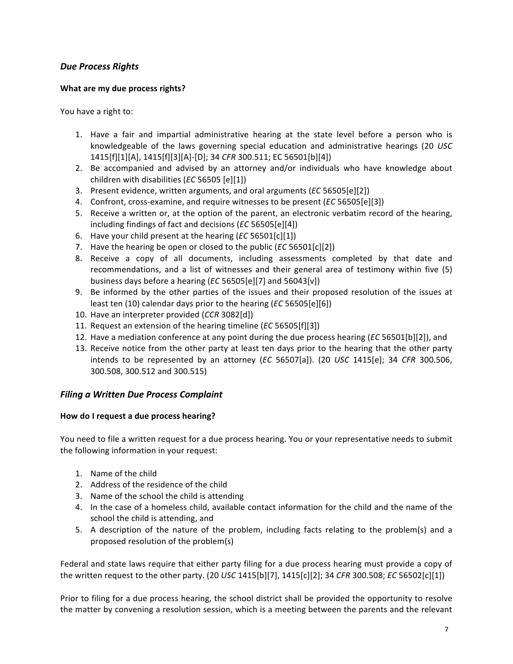## *Due Process Rights*

## **What are my due process rights?**

You have a right to:

- 1. Have a fair and impartial administrative hearing at the state level before a person who is knowledgeable of the laws governing special education and administrative hearings (20 *USC*) 1415[f][1][A], 1415[f][3][A]-[D]; 34 *CFR* 300.511; EC 56501[b][4])
- 2. Be accompanied and advised by an attorney and/or individuals who have knowledge about children with disabilities (*EC* 56505 [e][1])
- 3. Present evidence, written arguments, and oral arguments (*EC* 56505[e][2])
- 4. Confront, cross-examine, and require witnesses to be present (*EC* 56505[e][3])
- 5. Receive a written or, at the option of the parent, an electronic verbatim record of the hearing, including findings of fact and decisions (*EC* 56505[e][4])
- 6. Have your child present at the hearing (*EC* 56501[c][1])
- 7. Have the hearing be open or closed to the public (*EC* 56501[c][2])
- 8. Receive a copy of all documents, including assessments completed by that date and recommendations, and a list of witnesses and their general area of testimony within five (5) business days before a hearing (*EC* 56505[e][7] and 56043[v])
- 9. Be informed by the other parties of the issues and their proposed resolution of the issues at least ten (10) calendar days prior to the hearing (*EC* 56505[e][6])
- 10. Have an interpreter provided (*CCR* 3082[d])
- 11. Request an extension of the hearing timeline (*EC* 56505[f][3])
- 12. Have a mediation conference at any point during the due process hearing (*EC* 56501[b][2]), and
- 13. Receive notice from the other party at least ten days prior to the hearing that the other party intends to be represented by an attorney (*EC* 56507[a]). (20 *USC* 1415[e]; 34 *CFR* 300.506, 300.508, 300.512 and 300.515)

## **Filing a Written Due Process Complaint**

#### How do I request a due process hearing?

You need to file a written request for a due process hearing. You or your representative needs to submit the following information in your request:

- 1. Name of the child
- 2. Address of the residence of the child
- 3. Name of the school the child is attending
- 4. In the case of a homeless child, available contact information for the child and the name of the school the child is attending, and
- 5. A description of the nature of the problem, including facts relating to the problem(s) and a proposed resolution of the problem(s)

Federal and state laws require that either party filing for a due process hearing must provide a copy of the written request to the other party. (20 *USC* 1415[b][7], 1415[c][2]; 34 *CFR* 300.508; *EC* 56502[c][1])

Prior to filing for a due process hearing, the school district shall be provided the opportunity to resolve the matter by convening a resolution session, which is a meeting between the parents and the relevant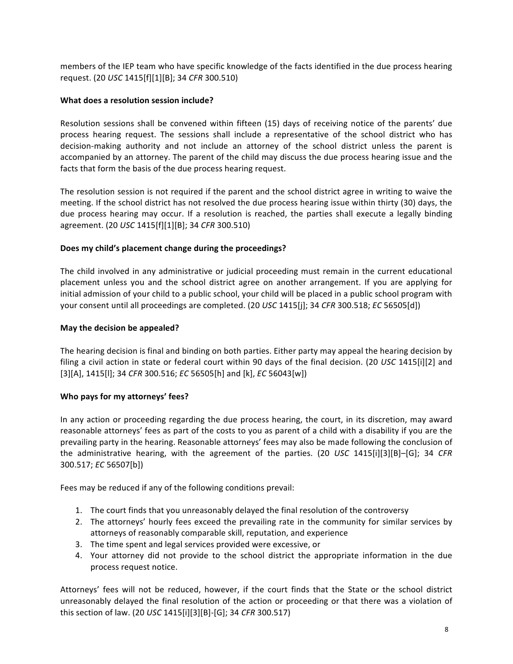members of the IEP team who have specific knowledge of the facts identified in the due process hearing request. (20 *USC* 1415[f][1][B]; 34 *CFR* 300.510)

## What does a resolution session include?

Resolution sessions shall be convened within fifteen (15) days of receiving notice of the parents' due process hearing request. The sessions shall include a representative of the school district who has decision-making authority and not include an attorney of the school district unless the parent is accompanied by an attorney. The parent of the child may discuss the due process hearing issue and the facts that form the basis of the due process hearing request.

The resolution session is not required if the parent and the school district agree in writing to waive the meeting. If the school district has not resolved the due process hearing issue within thirty (30) days, the due process hearing may occur. If a resolution is reached, the parties shall execute a legally binding agreement. (20 *USC* 1415[f][1][B]; 34 *CFR* 300.510)

## Does my child's placement change during the proceedings?

The child involved in any administrative or judicial proceeding must remain in the current educational placement unless you and the school district agree on another arrangement. If you are applying for initial admission of your child to a public school, your child will be placed in a public school program with your consent until all proceedings are completed. (20 *USC* 1415[j]; 34 *CFR* 300.518; *EC* 56505[d])

## **May the decision be appealed?**

The hearing decision is final and binding on both parties. Either party may appeal the hearing decision by filing a civil action in state or federal court within 90 days of the final decision. (20 *USC* 1415[i][2] and [3][A], 1415[I]; 34 *CFR* 300.516; *EC* 56505[h] and [k], *EC* 56043[w])

#### Who pays for my attorneys' fees?

In any action or proceeding regarding the due process hearing, the court, in its discretion, may award reasonable attorneys' fees as part of the costs to you as parent of a child with a disability if you are the prevailing party in the hearing. Reasonable attorneys' fees may also be made following the conclusion of the administrative hearing, with the agreement of the parties. (20 *USC* 1415[i][3][B]–[G]; 34 *CFR* 300.517; *EC* 56507[b])

Fees may be reduced if any of the following conditions prevail:

- 1. The court finds that you unreasonably delayed the final resolution of the controversy
- 2. The attorneys' hourly fees exceed the prevailing rate in the community for similar services by attorneys of reasonably comparable skill, reputation, and experience
- 3. The time spent and legal services provided were excessive, or
- 4. Your attorney did not provide to the school district the appropriate information in the due process request notice.

Attorneys' fees will not be reduced, however, if the court finds that the State or the school district unreasonably delayed the final resolution of the action or proceeding or that there was a violation of this section of law. (20 *USC* 1415[i][3][B]-[G]; 34 *CFR* 300.517)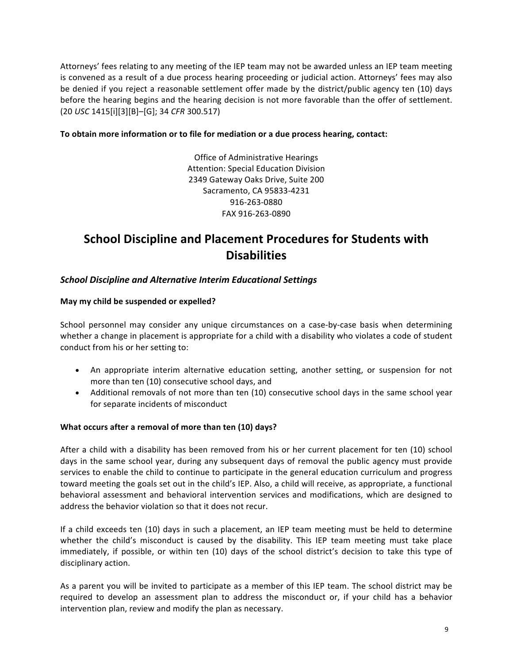Attorneys' fees relating to any meeting of the IEP team may not be awarded unless an IEP team meeting is convened as a result of a due process hearing proceeding or judicial action. Attorneys' fees may also be denied if you reject a reasonable settlement offer made by the district/public agency ten (10) days before the hearing begins and the hearing decision is not more favorable than the offer of settlement. (20 *USC* 1415[i][3][B]–[G]; 34 *CFR* 300.517)

## To obtain more information or to file for mediation or a due process hearing, contact:

Office of Administrative Hearings Attention: Special Education Division 2349 Gateway Oaks Drive, Suite 200 Sacramento, CA 95833-4231 916-263-0880 FAX 916-263-0890

# **School Discipline and Placement Procedures for Students with Disabilities**

## **School Discipline and Alternative Interim Educational Settings**

#### May my child be suspended or expelled?

School personnel may consider any unique circumstances on a case-by-case basis when determining whether a change in placement is appropriate for a child with a disability who violates a code of student conduct from his or her setting to:

- An appropriate interim alternative education setting, another setting, or suspension for not more than ten (10) consecutive school days, and
- Additional removals of not more than ten (10) consecutive school days in the same school year for separate incidents of misconduct

#### **What occurs after a removal of more than ten (10) days?**

After a child with a disability has been removed from his or her current placement for ten (10) school days in the same school year, during any subsequent days of removal the public agency must provide services to enable the child to continue to participate in the general education curriculum and progress toward meeting the goals set out in the child's IEP. Also, a child will receive, as appropriate, a functional behavioral assessment and behavioral intervention services and modifications, which are designed to address the behavior violation so that it does not recur.

If a child exceeds ten (10) days in such a placement, an IEP team meeting must be held to determine whether the child's misconduct is caused by the disability. This IEP team meeting must take place immediately, if possible, or within ten (10) days of the school district's decision to take this type of disciplinary action.

As a parent you will be invited to participate as a member of this IEP team. The school district may be required to develop an assessment plan to address the misconduct or, if your child has a behavior intervention plan, review and modify the plan as necessary.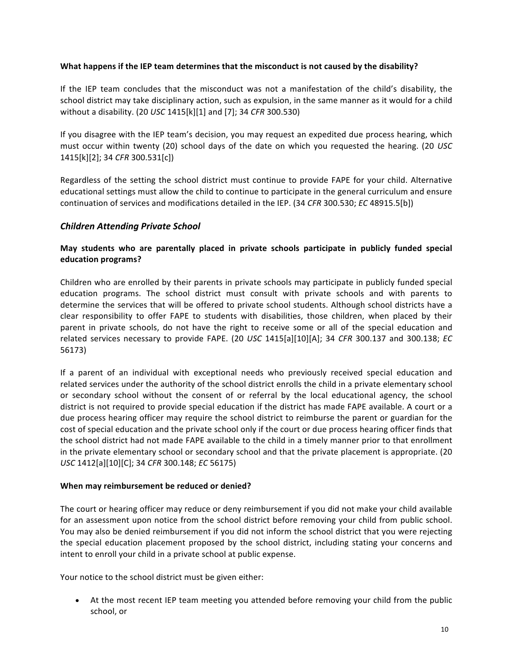#### What happens if the IEP team determines that the misconduct is not caused by the disability?

If the IEP team concludes that the misconduct was not a manifestation of the child's disability, the school district may take disciplinary action, such as expulsion, in the same manner as it would for a child without a disability. (20 *USC* 1415[k][1] and [7]; 34 *CFR* 300.530)

If you disagree with the IEP team's decision, you may request an expedited due process hearing, which must occur within twenty (20) school days of the date on which you requested the hearing. (20 *USC* 1415[k][2]; 34 *CFR* 300.531[c])

Regardless of the setting the school district must continue to provide FAPE for your child. Alternative educational settings must allow the child to continue to participate in the general curriculum and ensure continuation of services and modifications detailed in the IEP. (34 CFR 300.530; *EC* 48915.5[b])

## *Children Attending Private School*

## May students who are parentally placed in private schools participate in publicly funded special **education programs?**

Children who are enrolled by their parents in private schools may participate in publicly funded special education programs. The school district must consult with private schools and with parents to determine the services that will be offered to private school students. Although school districts have a clear responsibility to offer FAPE to students with disabilities, those children, when placed by their parent in private schools, do not have the right to receive some or all of the special education and related services necessary to provide FAPE. (20 *USC* 1415[a][10][A]; 34 *CFR* 300.137 and 300.138; *EC* 56173) 

If a parent of an individual with exceptional needs who previously received special education and related services under the authority of the school district enrolls the child in a private elementary school or secondary school without the consent of or referral by the local educational agency, the school district is not required to provide special education if the district has made FAPE available. A court or a due process hearing officer may require the school district to reimburse the parent or guardian for the cost of special education and the private school only if the court or due process hearing officer finds that the school district had not made FAPE available to the child in a timely manner prior to that enrollment in the private elementary school or secondary school and that the private placement is appropriate. (20 *USC* 1412[a][10][C]; 34 *CFR* 300.148; *EC* 56175) 

#### **When may reimbursement be reduced or denied?**

The court or hearing officer may reduce or deny reimbursement if you did not make your child available for an assessment upon notice from the school district before removing your child from public school. You may also be denied reimbursement if you did not inform the school district that you were rejecting the special education placement proposed by the school district, including stating your concerns and intent to enroll your child in a private school at public expense.

Your notice to the school district must be given either:

• At the most recent IEP team meeting you attended before removing your child from the public school, or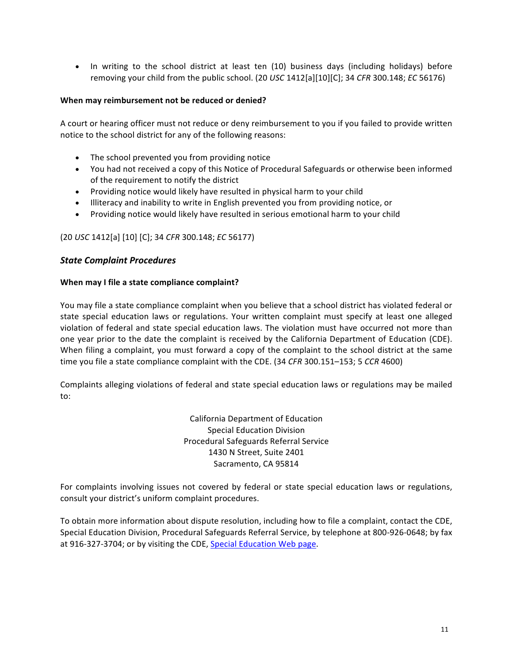• In writing to the school district at least ten (10) business days (including holidays) before removing your child from the public school. (20 *USC* 1412[a][10][C]; 34 *CFR* 300.148; *EC* 56176)

#### **When may reimbursement not be reduced or denied?**

A court or hearing officer must not reduce or deny reimbursement to you if you failed to provide written notice to the school district for any of the following reasons:

- $\bullet$  The school prevented you from providing notice
- You had not received a copy of this Notice of Procedural Safeguards or otherwise been informed of the requirement to notify the district
- Providing notice would likely have resulted in physical harm to your child
- Illiteracy and inability to write in English prevented you from providing notice, or
- Providing notice would likely have resulted in serious emotional harm to your child

#### (20 *USC* 1412[a] [10] [C]; 34 *CFR* 300.148; *EC* 56177)

#### *State Complaint Procedures*

#### **When may I file a state compliance complaint?**

You may file a state compliance complaint when you believe that a school district has violated federal or state special education laws or regulations. Your written complaint must specify at least one alleged violation of federal and state special education laws. The violation must have occurred not more than one year prior to the date the complaint is received by the California Department of Education (CDE). When filing a complaint, you must forward a copy of the complaint to the school district at the same time you file a state compliance complaint with the CDE. (34 CFR 300.151–153; 5 CCR 4600)

Complaints alleging violations of federal and state special education laws or regulations may be mailed to:

> California Department of Education Special Education Division Procedural Safeguards Referral Service 1430 N Street, Suite 2401 Sacramento, CA 95814

For complaints involving issues not covered by federal or state special education laws or regulations, consult your district's uniform complaint procedures.

To obtain more information about dispute resolution, including how to file a complaint, contact the CDE, Special Education Division, Procedural Safeguards Referral Service, by telephone at 800-926-0648; by fax at 916-327-3704; or by visiting the CDE, Special Education Web page.